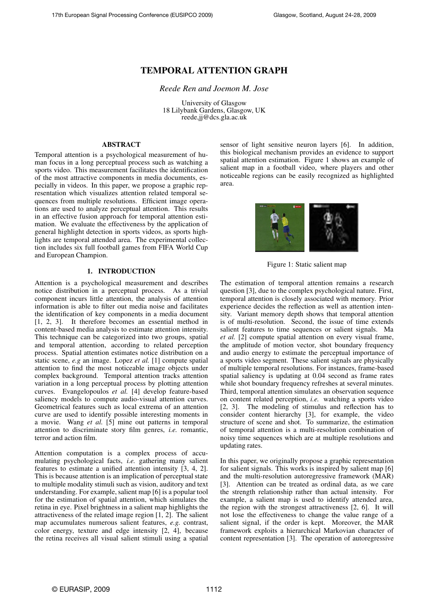# **TEMPORAL ATTENTION GRAPH**

*Reede Ren and Joemon M. Jose*

University of Glasgow 18 Lilybank Gardens, Glasgow, UK reede,jj@dcs.gla.ac.uk

## **ABSTRACT**

Temporal attention is a psychological measurement of human focus in a long perceptual process such as watching a sports video. This measurement facilitates the identification of the most attractive components in media documents, especially in videos. In this paper, we propose a graphic representation which visualizes attention related temporal sequences from multiple resolutions. Efficient image operations are used to analyze perceptual attention. This results in an effective fusion approach for temporal attention estimation. We evaluate the effectiveness by the application of general highlight detection in sports videos, as sports highlights are temporal attended area. The experimental collection includes six full football games from FIFA World Cup and European Champion.

## **1. INTRODUCTION**

Attention is a psychological measurement and describes notice distribution in a perceptual process. As a trivial component incurs little attention, the analysis of attention information is able to filter out media noise and facilitates the identification of key components in a media document [1, 2, 3]. It therefore becomes an essential method in content-based media analysis to estimate attention intensity. This technique can be categorized into two groups, spatial and temporal attention, according to related perception process. Spatial attention estimates notice distribution on a static scene, *e.g* an image. Lopez *et al.* [1] compute spatial attention to find the most noticeable image objects under complex background. Temporal attention tracks attention variation in a long perceptual process by plotting attention curves. Evangelopoulos *et al.* [4] develop feature-based saliency models to compute audio-visual attention curves. Geometrical features such as local extrema of an attention curve are used to identify possible interesting moments in a movie. Wang *et al.* [5] mine out patterns in temporal attention to discriminate story film genres, *i.e.* romantic, terror and action film.

Attention computation is a complex process of accumulating psychological facts, *i.e.* gathering many salient features to estimate a unified attention intensity [3, 4, 2]. This is because attention is an implication of perceptual state to multiple modality stimuli such as vision, auditory and text understanding. For example, salient map [6] is a popular tool for the estimation of spatial attention, which simulates the retina in eye. Pixel brightness in a salient map highlights the attractiveness of the related image region [1, 2]. The salient map accumulates numerous salient features, *e.g.* contrast, color energy, texture and edge intensity [2, 4], because the retina receives all visual salient stimuli using a spatial

sensor of light sensitive neuron layers [6]. In addition, this biological mechanism provides an evidence to support spatial attention estimation. Figure 1 shows an example of salient map in a football video, where players and other noticeable regions can be easily recognized as highlighted area.



Figure 1: Static salient map

The estimation of temporal attention remains a research question [3], due to the complex psychological nature. First, temporal attention is closely associated with memory. Prior experience decides the reflection as well as attention intensity. Variant memory depth shows that temporal attention is of multi-resolution. Second, the issue of time extends salient features to time sequences or salient signals. Ma *et al.* [2] compute spatial attention on every visual frame, the amplitude of motion vector, shot boundary frequency and audio energy to estimate the perceptual importance of a sports video segment. These salient signals are physically of multiple temporal resolutions. For instances, frame-based spatial saliency is updating at 0.04 second as frame rates while shot boundary frequency refreshes at several minutes. Third, temporal attention simulates an observation sequence on content related perception, *i.e.* watching a sports video [2, 3]. The modeling of stimulus and reflection has to consider content hierarchy [3], for example, the video structure of scene and shot. To summarize, the estimation of temporal attention is a multi-resolution combination of noisy time sequences which are at multiple resolutions and updating rates.

In this paper, we originally propose a graphic representation for salient signals. This works is inspired by salient map [6] and the multi-resolution autoregressive framework (MAR) [3]. Attention can be treated as ordinal data, as we care the strength relationship rather than actual intensity. For example, a salient map is used to identify attended area, the region with the strongest attractiveness [2, 6]. It will not lose the effectiveness to change the value range of a salient signal, if the order is kept. Moreover, the MAR framework exploits a hierarchical Markovian character of content representation [3]. The operation of autoregressive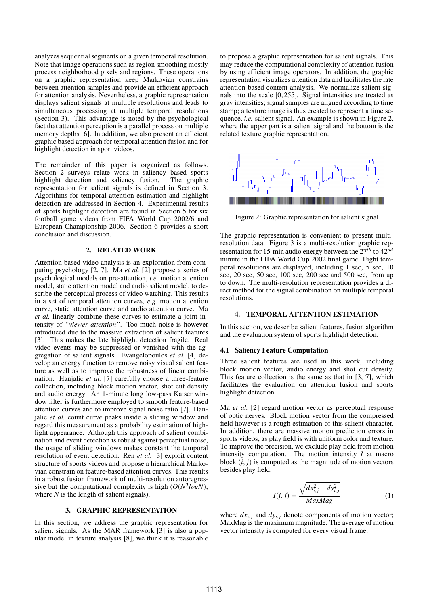analyzes sequential segments on a given temporal resolution. Note that image operations such as region smoothing mostly process neighborhood pixels and regions. These operations on a graphic representation keep Markovian constrains between attention samples and provide an efficient approach for attention analysis. Nevertheless, a graphic representation displays salient signals at multiple resolutions and leads to simultaneous processing at multiple temporal resolutions (Section 3). This advantage is noted by the psychological fact that attention perception is a parallel process on multiple memory depths [6]. In addition, we also present an efficient graphic based approach for temporal attention fusion and for highlight detection in sport videos.

The remainder of this paper is organized as follows. Section 2 surveys relate work in saliency based sports highlight detection and saliency fusion. The graphic representation for salient signals is defined in Section 3. Algorithms for temporal attention estimation and highlight detection are addressed in Section 4. Experimental results of sports highlight detection are found in Section 5 for six football game videos from FIFA World Cup 2002/6 and European Championship 2006. Section 6 provides a short conclusion and discussion.

## **2. RELATED WORK**

Attention based video analysis is an exploration from computing psychology [2, 7]. Ma *et al.* [2] propose a series of psychological models on pre-attention, *i.e.* motion attention model, static attention model and audio salient model, to describe the perceptual process of video watching. This results in a set of temporal attention curves, *e.g.* motion attention curve, static attention curve and audio attention curve. Ma *et al.* linearly combine these curves to estimate a joint intensity of *"viewer attention"*. Too much noise is however introduced due to the massive extraction of salient features [3]. This makes the late highlight detection fragile. Real video events may be suppressed or vanished with the aggregation of salient signals. Evangelopoulos *et al.* [4] develop an energy function to remove noisy visual salient feature as well as to improve the robustness of linear combination. Hanjalic *et al.* [7] carefully choose a three-feature collection, including block motion vector, shot cut density and audio energy. An 1-minute long low-pass Kaiser window filter is furthermore employed to smooth feature-based attention curves and to improve signal noise ratio [7]. Hanjalic *et al.* count curve peaks inside a sliding window and regard this measurement as a probability estimation of highlight appearance. Although this approach of salient combination and event detection is robust against perceptual noise, the usage of sliding windows makes constant the temporal resolution of event detection. Ren *et al.* [3] exploit content structure of sports videos and propose a hierarchical Markovian constrain on feature-based attention curves. This results in a robust fusion framework of multi-resolution autoregressive but the computational complexity is high  $(O(N^3 log N))$ , where *N* is the length of salient signals).

## **3. GRAPHIC REPRESENTATION**

In this section, we address the graphic representation for salient signals. As the MAR framework [3] is also a popular model in texture analysis [8], we think it is reasonable to propose a graphic representation for salient signals. This may reduce the computational complexity of attention fusion by using efficient image operators. In addition, the graphic representation visualizes attention data and facilitates the late attention-based content analysis. We normalize salient signals into the scale [0,255]. Signal intensities are treated as gray intensities; signal samples are aligned according to time stamp; a texture image is thus created to represent a time sequence, *i.e.* salient signal. An example is shown in Figure 2, where the upper part is a salient signal and the bottom is the related texture graphic representation.



Figure 2: Graphic representation for salient signal

The graphic representation is convenient to present multiresolution data. Figure 3 is a multi-resolution graphic representation for 15-min audio energy between the 27*th* to 42*nd* minute in the FIFA World Cup 2002 final game. Eight temporal resolutions are displayed, including 1 sec, 5 sec, 10 sec, 20 sec, 50 sec, 100 sec, 200 sec and 500 sec, from up to down. The multi-resolution representation provides a direct method for the signal combination on multiple temporal resolutions.

#### **4. TEMPORAL ATTENTION ESTIMATION**

In this section, we describe salient features, fusion algorithm and the evaluation system of sports highlight detection.

#### **4.1 Saliency Feature Computation**

Three salient features are used in this work, including block motion vector, audio energy and shot cut density. This feature collection is the same as that in [3, 7], which facilitates the evaluation on attention fusion and sports highlight detection.

Ma *et al.* [2] regard motion vector as perceptual response of optic nerves. Block motion vector from the compressed field however is a rough estimation of this salient character. In addition, there are massive motion prediction errors in sports videos, as play field is with uniform color and texture. To improve the precision, we exclude play field from motion intensity computation. The motion intensity *I* at macro block  $(i, j)$  is computed as the magnitude of motion vectors besides play field.

$$
I(i,j) = \frac{\sqrt{dx_{i,j}^2 + dy_{i,j}^2}}{MaxMag}
$$
 (1)

where  $dx_{i,j}$  and  $dy_{i,j}$  denote components of motion vector; MaxMag is the maximum magnitude. The average of motion vector intensity is computed for every visual frame.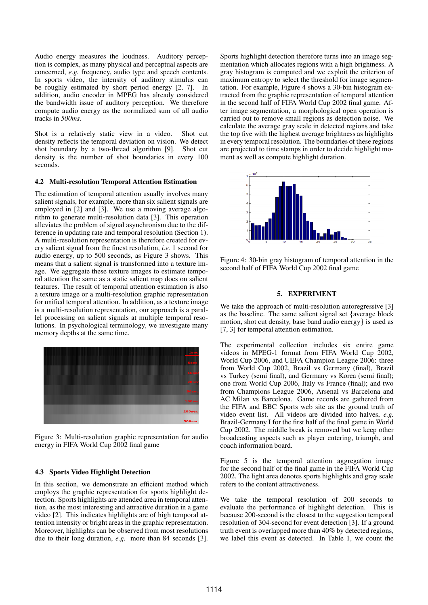Audio energy measures the loudness. Auditory perception is complex, as many physical and perceptual aspects are concerned, *e.g.* frequency, audio type and speech contents. In sports video, the intensity of auditory stimulus can be roughly estimated by short period energy [2, 7]. In addition, audio encoder in MPEG has already considered the bandwidth issue of auditory perception. We therefore compute audio energy as the normalized sum of all audio tracks in *500ms*.

Shot is a relatively static view in a video. Shot cut density reflects the temporal deviation on vision. We detect shot boundary by a two-thread algorithm [9]. Shot cut density is the number of shot boundaries in every 100 seconds.

#### **4.2 Multi-resolution Temporal Attention Estimation**

The estimation of temporal attention usually involves many salient signals, for example, more than six salient signals are employed in [2] and [3]. We use a moving average algorithm to generate multi-resolution data [3]. This operation alleviates the problem of signal asynchronism due to the difference in updating rate and temporal resolution (Section 1). A multi-resolution representation is therefore created for every salient signal from the finest resolution, *i.e.* 1 second for audio energy, up to 500 seconds, as Figure 3 shows. This means that a salient signal is transformed into a texture image. We aggregate these texture images to estimate temporal attention the same as a static salient map does on salient features. The result of temporal attention estimation is also a texture image or a multi-resolution graphic representation for unified temporal attention. In addition, as a texture image is a multi-resolution representation, our approach is a parallel processing on salient signals at multiple temporal resolutions. In psychological terminology, we investigate many memory depths at the same time.



Figure 3: Multi-resolution graphic representation for audio energy in FIFA World Cup 2002 final game

#### **4.3 Sports Video Highlight Detection**

In this section, we demonstrate an efficient method which employs the graphic representation for sports highlight detection. Sports highlights are attended area in temporal attention, as the most interesting and attractive duration in a game video [2]. This indicates highlights are of high temporal attention intensity or bright areas in the graphic representation. Moreover, highlights can be observed from most resolutions due to their long duration, *e.g.* more than 84 seconds [3]. Sports highlight detection therefore turns into an image segmentation which allocates regions with a high brightness. A gray histogram is computed and we exploit the criterion of maximum entropy to select the threshold for image segmentation. For example, Figure 4 shows a 30-bin histogram extracted from the graphic representation of temporal attention in the second half of FIFA World Cup 2002 final game. After image segmentation, a morphological open operation is carried out to remove small regions as detection noise. We calculate the average gray scale in detected regions and take the top five with the highest average brightness as highlights in every temporal resolution. The boundaries of these regions are projected to time stamps in order to decide highlight moment as well as compute highlight duration.



Figure 4: 30-bin gray histogram of temporal attention in the second half of FIFA World Cup 2002 final game

#### **5. EXPERIMENT**

We take the approach of multi-resolution autoregressive [3] as the baseline. The same salient signal set {average block motion, shot cut density, base band audio energy} is used as [7, 3] for temporal attention estimation.

The experimental collection includes six entire game videos in MPEG-1 format from FIFA World Cup 2002, World Cup 2006, and UEFA Champion League 2006: three from World Cup 2002, Brazil vs Germany (final), Brazil vs Turkey (semi final), and Germany vs Korea (semi final); one from World Cup 2006, Italy vs France (final); and two from Champions League 2006, Arsenal vs Barcelona and AC Milan vs Barcelona. Game records are gathered from the FIFA and BBC Sports web site as the ground truth of video event list. All videos are divided into halves, *e.g.* Brazil-Germany I for the first half of the final game in World Cup 2002. The middle break is removed but we keep other broadcasting aspects such as player entering, triumph, and coach information board.

Figure 5 is the temporal attention aggregation image for the second half of the final game in the FIFA World Cup 2002. The light area denotes sports highlights and gray scale refers to the content attractiveness.

We take the temporal resolution of 200 seconds to evaluate the performance of highlight detection. This is because 200-second is the closest to the suggestion temporal resolution of 304-second for event detection [3]. If a ground truth event is overlapped more than 40% by detected regions, we label this event as detected. In Table 1, we count the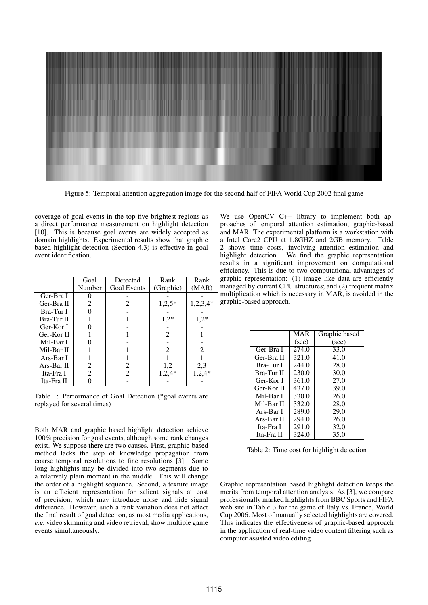

Figure 5: Temporal attention aggregation image for the second half of FIFA World Cup 2002 final game

coverage of goal events in the top five brightest regions as a direct performance measurement on highlight detection [10]. This is because goal events are widely accepted as domain highlights. Experimental results show that graphic based highlight detection (Section 4.3) is effective in goal event identification.

|            | Goal           | Detected           | Rank                        | Rank       |
|------------|----------------|--------------------|-----------------------------|------------|
|            | Number         | <b>Goal Events</b> | (Graphic)                   | (MAR)      |
| Ger-Bra I  |                |                    |                             |            |
| Ger-Bra II | 2              | 2                  | $1,2,5*$                    | $1,2,3,4*$ |
| Bra-Tur I  |                |                    |                             |            |
| Bra-Tur II |                |                    | $1,2*$                      | $1,2*$     |
| Ger-Kor I  |                |                    |                             |            |
| Ger-Kor II |                |                    | 2                           |            |
| Mil-Bar I  |                |                    |                             |            |
| Mil-Bar II |                |                    | $\mathcal{D}_{\mathcal{L}}$ |            |
| Ars-Bar I  |                |                    |                             |            |
| Ars-Bar II | 2              | 2                  | 1,2                         | 2,3        |
| Ita-Fra I  | $\mathfrak{D}$ | $\mathfrak{D}$     | $1,2,4*$                    | $1,2,4*$   |
| Ita-Fra II |                |                    |                             |            |

Table 1: Performance of Goal Detection (\*goal events are replayed for several times)

Both MAR and graphic based highlight detection achieve 100% precision for goal events, although some rank changes exist. We suppose there are two causes. First, graphic-based method lacks the step of knowledge propagation from coarse temporal resolutions to fine resolutions [3]. Some long highlights may be divided into two segments due to a relatively plain moment in the middle. This will change the order of a highlight sequence. Second, a texture image is an efficient representation for salient signals at cost of precision, which may introduce noise and hide signal difference. However, such a rank variation does not affect the final result of goal detection, as most media applications, *e.g.* video skimming and video retrieval, show multiple game events simultaneously.

We use OpenCV C++ library to implement both approaches of temporal attention estimation, graphic-based and MAR. The experimental platform is a workstation with a Intel Core2 CPU at 1.8GHZ and 2GB memory. Table 2 shows time costs, involving attention estimation and highlight detection. We find the graphic representation results in a significant improvement on computational efficiency. This is due to two computational advantages of graphic representation: (1) image like data are efficiently managed by current CPU structures; and (2) frequent matrix multiplication which is necessary in MAR, is avoided in the graphic-based approach.

| MAR   | Graphic based |
|-------|---------------|
| (sec) | (sec)         |
| 274.0 | 33.0          |
| 321.0 | 41.0          |
| 244.0 | 28.0          |
| 230.0 | 30.0          |
| 361.0 | 27.0          |
| 437.0 | 39.0          |
| 330.0 | 26.0          |
| 332.0 | 28.0          |
| 289.0 | 29.0          |
| 294.0 | 26.0          |
| 291.0 | 32.0          |
| 324.0 | 35.0          |
|       |               |

Table 2: Time cost for highlight detection

Graphic representation based highlight detection keeps the merits from temporal attention analysis. As [3], we compare professionally marked highlights from BBC Sports and FIFA web site in Table 3 for the game of Italy vs. France, World Cup 2006. Most of manually selected highlights are covered. This indicates the effectiveness of graphic-based approach in the application of real-time video content filtering such as computer assisted video editing.